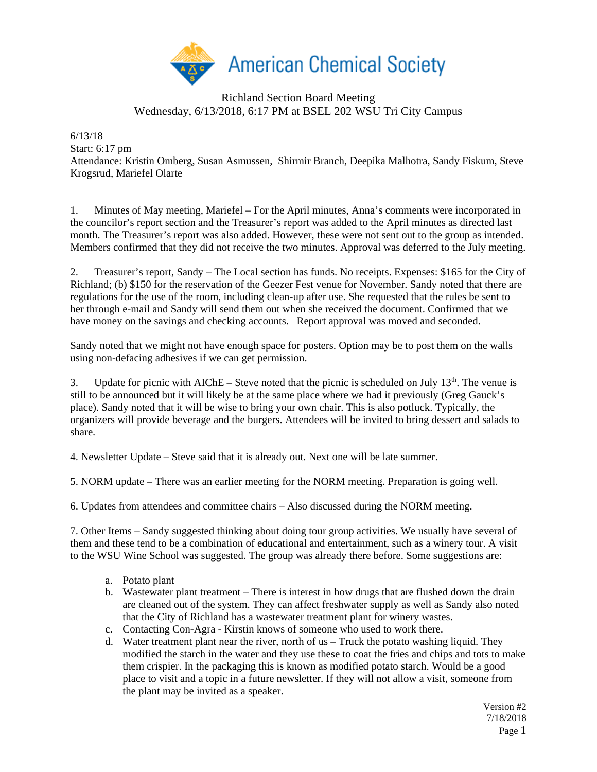

## Richland Section Board Meeting Wednesday, 6/13/2018, 6:17 PM at BSEL 202 WSU Tri City Campus

6/13/18 Start: 6:17 pm Attendance: Kristin Omberg, Susan Asmussen, Shirmir Branch, Deepika Malhotra, Sandy Fiskum, Steve Krogsrud, Mariefel Olarte

1. Minutes of May meeting, Mariefel – For the April minutes, Anna's comments were incorporated in the councilor's report section and the Treasurer's report was added to the April minutes as directed last month. The Treasurer's report was also added. However, these were not sent out to the group as intended. Members confirmed that they did not receive the two minutes. Approval was deferred to the July meeting.

2. Treasurer's report, Sandy – The Local section has funds. No receipts. Expenses: \$165 for the City of Richland; (b) \$150 for the reservation of the Geezer Fest venue for November. Sandy noted that there are regulations for the use of the room, including clean-up after use. She requested that the rules be sent to her through e-mail and Sandy will send them out when she received the document. Confirmed that we have money on the savings and checking accounts. Report approval was moved and seconded.

Sandy noted that we might not have enough space for posters. Option may be to post them on the walls using non-defacing adhesives if we can get permission.

3. Update for picnic with AIChE – Steve noted that the picnic is scheduled on July  $13<sup>th</sup>$ . The venue is still to be announced but it will likely be at the same place where we had it previously (Greg Gauck's place). Sandy noted that it will be wise to bring your own chair. This is also potluck. Typically, the organizers will provide beverage and the burgers. Attendees will be invited to bring dessert and salads to share.

4. Newsletter Update – Steve said that it is already out. Next one will be late summer.

5. NORM update – There was an earlier meeting for the NORM meeting. Preparation is going well.

6. Updates from attendees and committee chairs – Also discussed during the NORM meeting.

7. Other Items – Sandy suggested thinking about doing tour group activities. We usually have several of them and these tend to be a combination of educational and entertainment, such as a winery tour. A visit to the WSU Wine School was suggested. The group was already there before. Some suggestions are:

- a. Potato plant
- b. Wastewater plant treatment There is interest in how drugs that are flushed down the drain are cleaned out of the system. They can affect freshwater supply as well as Sandy also noted that the City of Richland has a wastewater treatment plant for winery wastes.
- c. Contacting Con-Agra Kirstin knows of someone who used to work there.
- d. Water treatment plant near the river, north of us Truck the potato washing liquid. They modified the starch in the water and they use these to coat the fries and chips and tots to make them crispier. In the packaging this is known as modified potato starch. Would be a good place to visit and a topic in a future newsletter. If they will not allow a visit, someone from the plant may be invited as a speaker.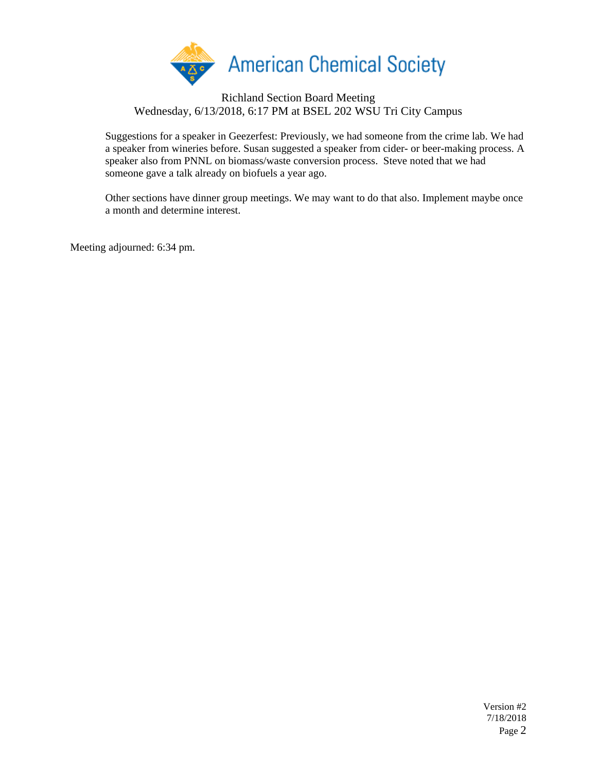

## Richland Section Board Meeting Wednesday, 6/13/2018, 6:17 PM at BSEL 202 WSU Tri City Campus

Suggestions for a speaker in Geezerfest: Previously, we had someone from the crime lab. We had a speaker from wineries before. Susan suggested a speaker from cider- or beer-making process. A speaker also from PNNL on biomass/waste conversion process. Steve noted that we had someone gave a talk already on biofuels a year ago.

Other sections have dinner group meetings. We may want to do that also. Implement maybe once a month and determine interest.

Meeting adjourned: 6:34 pm.

Version #2 7/18/2018 Page 2